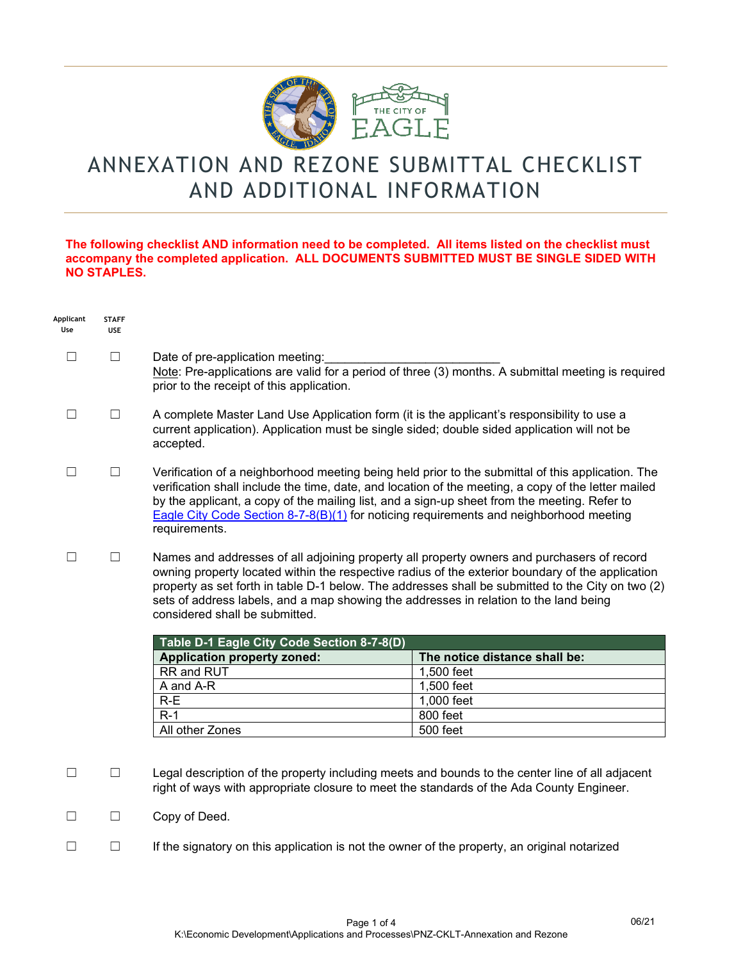

## ANNEXATION AND REZONE SUBMITTAL CHECKLIST AND ADDITIONAL INFORMATION

## **The following checklist AND information need to be completed. All items listed on the checklist must accompany the completed application. ALL DOCUMENTS SUBMITTED MUST BE SINGLE SIDED WITH NO STAPLES.**

| Applicant<br>Use | <b>STAFF</b><br><b>USE</b> |                                                                                                                                                                                                                                                                                                                                                                                                                                                                              |                               |  |
|------------------|----------------------------|------------------------------------------------------------------------------------------------------------------------------------------------------------------------------------------------------------------------------------------------------------------------------------------------------------------------------------------------------------------------------------------------------------------------------------------------------------------------------|-------------------------------|--|
|                  | $\Box$                     | Date of pre-application meeting:<br>Note: Pre-applications are valid for a period of three (3) months. A submittal meeting is required<br>prior to the receipt of this application.                                                                                                                                                                                                                                                                                          |                               |  |
| $\Box$           | $\Box$                     | A complete Master Land Use Application form (it is the applicant's responsibility to use a<br>current application). Application must be single sided; double sided application will not be<br>accepted.                                                                                                                                                                                                                                                                      |                               |  |
| $\Box$           | $\Box$                     | Verification of a neighborhood meeting being held prior to the submittal of this application. The<br>verification shall include the time, date, and location of the meeting, a copy of the letter mailed<br>by the applicant, a copy of the mailing list, and a sign-up sheet from the meeting. Refer to<br>Eagle City Code Section 8-7-8(B)(1) for noticing requirements and neighborhood meeting<br>requirements.                                                          |                               |  |
| П                | $\Box$                     | Names and addresses of all adjoining property all property owners and purchasers of record<br>owning property located within the respective radius of the exterior boundary of the application<br>property as set forth in table D-1 below. The addresses shall be submitted to the City on two (2)<br>sets of address labels, and a map showing the addresses in relation to the land being<br>considered shall be submitted.<br>Table D-1 Eagle City Code Section 8-7-8(D) |                               |  |
|                  |                            |                                                                                                                                                                                                                                                                                                                                                                                                                                                                              |                               |  |
|                  |                            | <b>Application property zoned:</b>                                                                                                                                                                                                                                                                                                                                                                                                                                           | The notice distance shall be: |  |
|                  |                            | RR and RUT                                                                                                                                                                                                                                                                                                                                                                                                                                                                   | 1,500 feet                    |  |
|                  |                            | A and A-R                                                                                                                                                                                                                                                                                                                                                                                                                                                                    | 1,500 feet                    |  |
|                  |                            | $R-E$                                                                                                                                                                                                                                                                                                                                                                                                                                                                        | 1,000 feet                    |  |
|                  |                            | $R-1$                                                                                                                                                                                                                                                                                                                                                                                                                                                                        | 800 feet                      |  |
|                  |                            | All other Zones                                                                                                                                                                                                                                                                                                                                                                                                                                                              | 500 feet                      |  |
| П                | $\Box$                     | Legal description of the property including meets and bounds to the center line of all adjacent<br>right of ways with appropriate closure to meet the standards of the Ada County Engineer.                                                                                                                                                                                                                                                                                  |                               |  |
| $\Box$           | $\Box$                     | Copy of Deed.                                                                                                                                                                                                                                                                                                                                                                                                                                                                |                               |  |
| П                | П                          | If the signatory on this application is not the owner of the property, an original notarized                                                                                                                                                                                                                                                                                                                                                                                 |                               |  |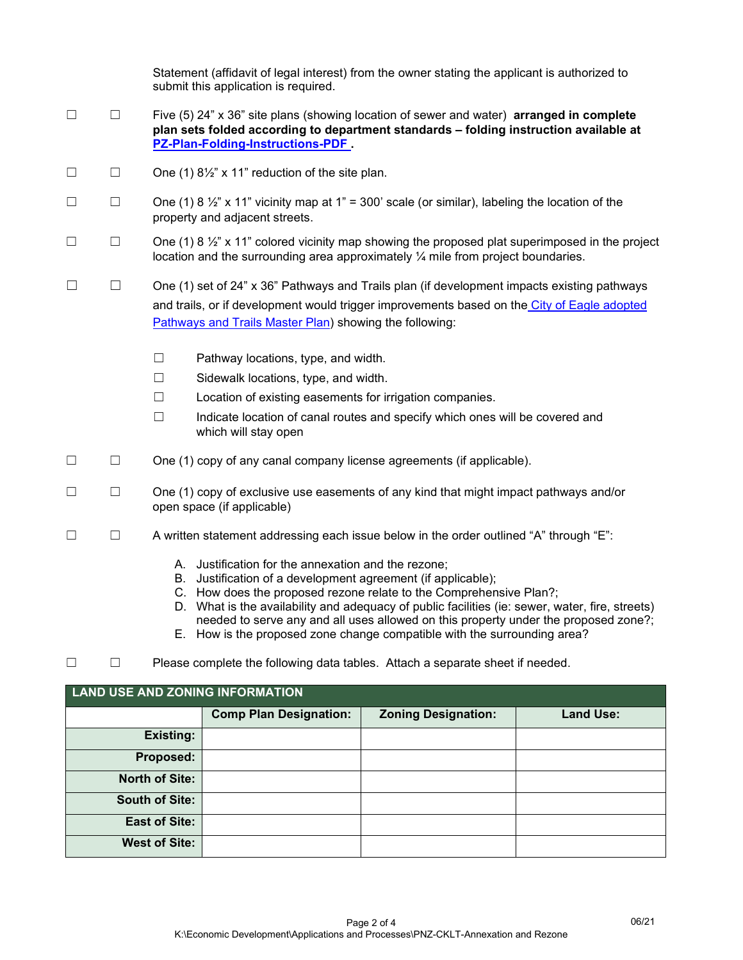|   |                | Statement (affidavit of legal interest) from the owner stating the applicant is authorized to<br>submit this application is required.                                                                                                 |
|---|----------------|---------------------------------------------------------------------------------------------------------------------------------------------------------------------------------------------------------------------------------------|
| П | $\Box$         | Five $(5)$ 24" x 36" site plans (showing location of sewer and water) <b>arranged in complete</b><br>plan sets folded according to department standards - folding instruction available at<br><b>PZ-Plan-Folding-Instructions-PDF</b> |
| Г |                | One (1) $8\frac{1}{2}$ " x 11" reduction of the site plan.                                                                                                                                                                            |
| П |                | One (1) 8 $\frac{1}{2}$ x 11" vicinity map at 1" = 300' scale (or similar), labeling the location of the<br>property and adjacent streets.                                                                                            |
| П | $\blacksquare$ | One (1) 8 $\frac{1}{2}$ " x 11" colored vicinity map showing the proposed plat superimposed in the project<br>location and the surrounding area approximately $\frac{1}{4}$ mile from project boundaries.                             |

- ☐ ☐ One (1) set of 24" x 36" Pathways and Trails plan (if development impacts existing pathways and trails, or if development would trigger improvements based on the City of Eagle adopted [Pathways and Trails Master Plan\)](https://www.cityofeagle.org/DocumentCenter/View/1762/Eagle-Pathways-and-Trails-Plan----FINAL?bidId=) showing the following:
	- ☐ Pathway locations, type, and width.
	- ☐ Sidewalk locations, type, and width.
	- ☐ Location of existing easements for irrigation companies.
	- ☐ Indicate location of canal routes and specify which ones will be covered and which will stay open
- ☐ ☐ One (1) copy of any canal company license agreements (if applicable).
- ☐ ☐ One (1) copy of exclusive use easements of any kind that might impact pathways and/or open space (if applicable)
- ☐ ☐ A written statement addressing each issue below in the order outlined "A" through "E":
	- A. Justification for the annexation and the rezone;
	- B. Justification of a development agreement (if applicable);
	- C. How does the proposed rezone relate to the Comprehensive Plan?;
	- D. What is the availability and adequacy of public facilities (ie: sewer, water, fire, streets) needed to serve any and all uses allowed on this property under the proposed zone?;
	- E. How is the proposed zone change compatible with the surrounding area?
- ☐ ☐ Please complete the following data tables. Attach a separate sheet if needed.

| <b>LAND USE AND ZONING INFORMATION</b> |                               |                            |                  |  |  |
|----------------------------------------|-------------------------------|----------------------------|------------------|--|--|
|                                        | <b>Comp Plan Designation:</b> | <b>Zoning Designation:</b> | <b>Land Use:</b> |  |  |
| <b>Existing:</b>                       |                               |                            |                  |  |  |
| Proposed:                              |                               |                            |                  |  |  |
| <b>North of Site:</b>                  |                               |                            |                  |  |  |
| <b>South of Site:</b>                  |                               |                            |                  |  |  |
| <b>East of Site:</b>                   |                               |                            |                  |  |  |
| <b>West of Site:</b>                   |                               |                            |                  |  |  |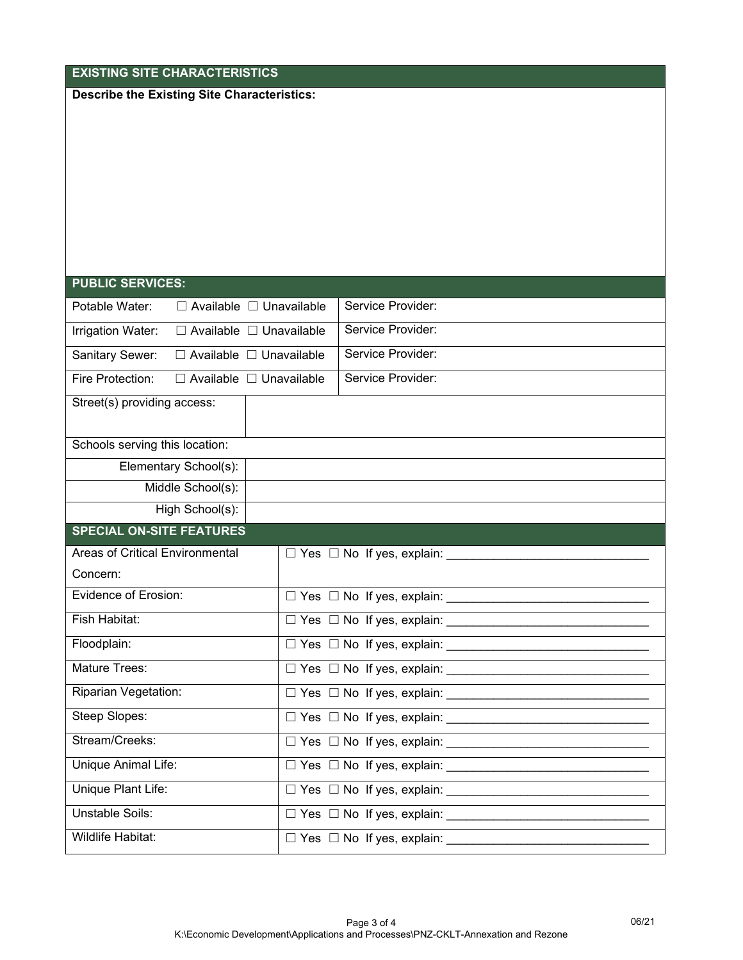| <b>EXISTING SITE CHARACTERISTICS</b>                     |  |                                            |  |  |
|----------------------------------------------------------|--|--------------------------------------------|--|--|
| <b>Describe the Existing Site Characteristics:</b>       |  |                                            |  |  |
|                                                          |  |                                            |  |  |
|                                                          |  |                                            |  |  |
|                                                          |  |                                            |  |  |
|                                                          |  |                                            |  |  |
|                                                          |  |                                            |  |  |
|                                                          |  |                                            |  |  |
|                                                          |  |                                            |  |  |
|                                                          |  |                                            |  |  |
| <b>PUBLIC SERVICES:</b>                                  |  |                                            |  |  |
| Potable Water:<br>$\Box$ Available $\Box$ Unavailable    |  | Service Provider:                          |  |  |
| $\Box$ Available $\Box$ Unavailable<br>Irrigation Water: |  | Service Provider:                          |  |  |
| Sanitary Sewer:<br>$\Box$ Available $\Box$ Unavailable   |  | Service Provider:                          |  |  |
| □ Available □ Unavailable<br>Fire Protection:            |  | Service Provider:                          |  |  |
| Street(s) providing access:                              |  |                                            |  |  |
|                                                          |  |                                            |  |  |
| Schools serving this location:                           |  |                                            |  |  |
| Elementary School(s):                                    |  |                                            |  |  |
| Middle School(s):                                        |  |                                            |  |  |
| High School(s):                                          |  |                                            |  |  |
| <b>SPECIAL ON-SITE FEATURES</b>                          |  |                                            |  |  |
| Areas of Critical Environmental                          |  | $\Box$ Yes $\Box$ No If yes, explain:      |  |  |
| Concern:                                                 |  |                                            |  |  |
| <b>Evidence of Erosion:</b>                              |  | $\Box$ Yes $\Box$ No If yes, explain: ___  |  |  |
| Fish Habitat:                                            |  |                                            |  |  |
| Floodplain:                                              |  |                                            |  |  |
| Mature Trees:                                            |  |                                            |  |  |
| Riparian Vegetation:                                     |  |                                            |  |  |
| Steep Slopes:                                            |  |                                            |  |  |
| Stream/Creeks:                                           |  |                                            |  |  |
| Unique Animal Life:                                      |  |                                            |  |  |
| Unique Plant Life:                                       |  |                                            |  |  |
| Unstable Soils:                                          |  |                                            |  |  |
| Wildlife Habitat:                                        |  | □ Yes □ No If yes, explain: ______________ |  |  |